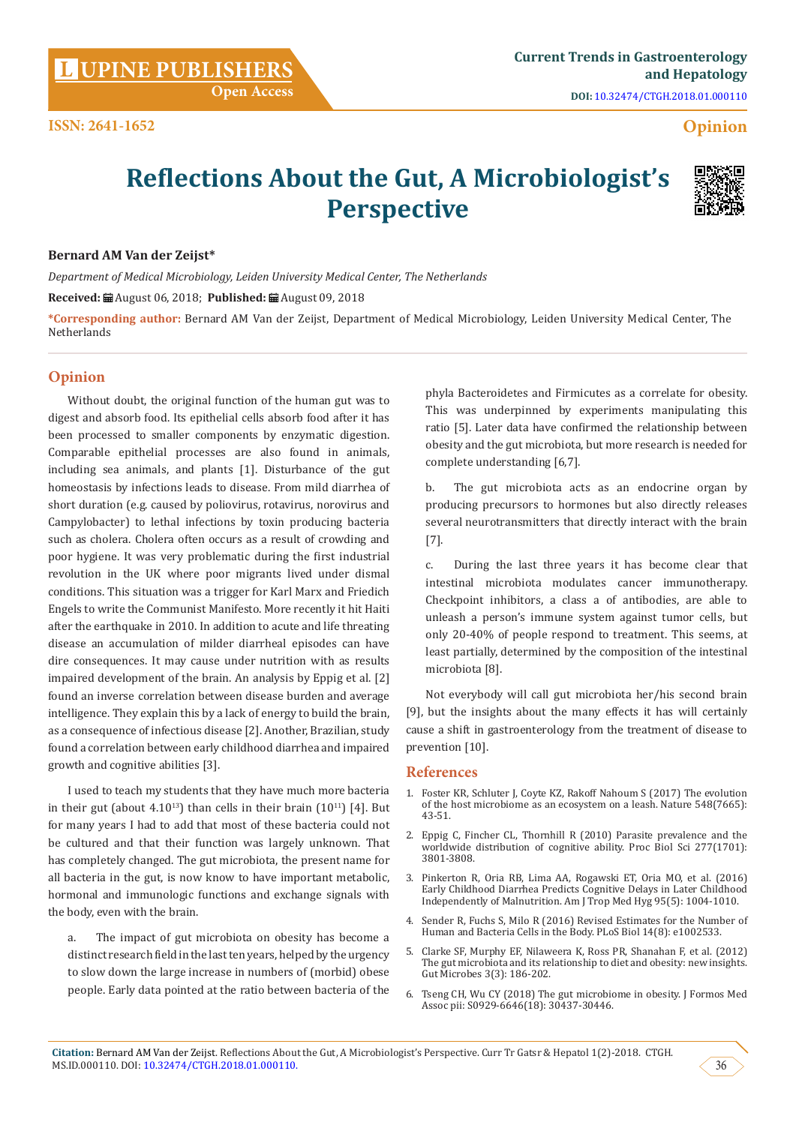**Opinion**

# **Reflections About the Gut, A Microbiologist's Perspective**



### **Bernard AM Van der Zeijst\***

*Department of Medical Microbiology, Leiden University Medical Center, The Netherlands*

**Received:** August 06, 2018; **Published:** August 09, 2018

**\*Corresponding author:** Bernard AM Van der Zeijst, Department of Medical Microbiology, Leiden University Medical Center, The Netherlands

# **Opinion**

Without doubt, the original function of the human gut was to digest and absorb food. Its epithelial cells absorb food after it has been processed to smaller components by enzymatic digestion. Comparable epithelial processes are also found in animals, including sea animals, and plants [1]. Disturbance of the gut homeostasis by infections leads to disease. From mild diarrhea of short duration (e.g. caused by poliovirus, rotavirus, norovirus and Campylobacter) to lethal infections by toxin producing bacteria such as cholera. Cholera often occurs as a result of crowding and poor hygiene. It was very problematic during the first industrial revolution in the UK where poor migrants lived under dismal conditions. This situation was a trigger for Karl Marx and Friedich Engels to write the Communist Manifesto. More recently it hit Haiti after the earthquake in 2010. In addition to acute and life threating disease an accumulation of milder diarrheal episodes can have dire consequences. It may cause under nutrition with as results impaired development of the brain. An analysis by Eppig et al. [2] found an inverse correlation between disease burden and average intelligence. They explain this by a lack of energy to build the brain, as a consequence of infectious disease [2]. Another, Brazilian, study found a correlation between early childhood diarrhea and impaired growth and cognitive abilities [3].

I used to teach my students that they have much more bacteria in their gut (about  $4.10^{13}$ ) than cells in their brain  $(10^{11})$  [4]. But for many years I had to add that most of these bacteria could not be cultured and that their function was largely unknown. That has completely changed. The gut microbiota, the present name for all bacteria in the gut, is now know to have important metabolic, hormonal and immunologic functions and exchange signals with the body, even with the brain.

a. The impact of gut microbiota on obesity has become a distinct research field in the last ten years, helped by the urgency to slow down the large increase in numbers of (morbid) obese people. Early data pointed at the ratio between bacteria of the

phyla Bacteroidetes and Firmicutes as a correlate for obesity. This was underpinned by experiments manipulating this ratio [5]. Later data have confirmed the relationship between obesity and the gut microbiota, but more research is needed for complete understanding [6,7].

b. The gut microbiota acts as an endocrine organ by producing precursors to hormones but also directly releases several neurotransmitters that directly interact with the brain [7].

c. During the last three years it has become clear that intestinal microbiota modulates cancer immunotherapy. Checkpoint inhibitors, a class a of antibodies, are able to unleash a person's immune system against tumor cells, but only 20-40% of people respond to treatment. This seems, at least partially, determined by the composition of the intestinal microbiota [8].

Not everybody will call gut microbiota her/his second brain [9], but the insights about the many effects it has will certainly cause a shift in gastroenterology from the treatment of disease to prevention [10].

## **References**

- 1. [Foster KR, Schluter J, Coyte KZ, Rakoff Nahoum S \(2017\) The evolution](https://www.ncbi.nlm.nih.gov/pubmed/28770836) [of the host microbiome as an ecosystem on a leash. Nature 548\(7665\):](https://www.ncbi.nlm.nih.gov/pubmed/28770836) [43-51.](https://www.ncbi.nlm.nih.gov/pubmed/28770836)
- 2. [Eppig C, Fincher CL, Thornhill R \(2010\) Parasite prevalence and the](https://www.ncbi.nlm.nih.gov/pubmed/20591860) [worldwide distribution of cognitive ability. Proc Biol Sci 277\(1701\):](https://www.ncbi.nlm.nih.gov/pubmed/20591860) [3801-3808.](https://www.ncbi.nlm.nih.gov/pubmed/20591860)
- 3. [Pinkerton R, Oria RB, Lima AA, Rogawski ET, Oria MO, et al. \(2016\)](https://www.ncbi.nlm.nih.gov/pmc/articles/PMC5094207/) [Early Childhood Diarrhea Predicts Cognitive Delays in Later Childhood](https://www.ncbi.nlm.nih.gov/pmc/articles/PMC5094207/) [Independently of Malnutrition. Am J Trop Med Hyg 95\(5\): 1004-1010.](https://www.ncbi.nlm.nih.gov/pmc/articles/PMC5094207/)
- 4. [Sender R, Fuchs S, Milo R \(2016\) Revised Estimates for the Number of](http://journals.plos.org/plosbiology/article/file?id=10.1371/journal.pbio.1002533&type=printable) [Human and Bacteria Cells in the Body. PLoS Biol 14\(8\): e1002533.](http://journals.plos.org/plosbiology/article/file?id=10.1371/journal.pbio.1002533&type=printable)
- 5. [Clarke SF, Murphy EF, Nilaweera K, Ross PR, Shanahan F, et al. \(2012\)](https://www.ncbi.nlm.nih.gov/pubmed/22572830) [The gut microbiota and its relationship to diet and obesity: new insights.](https://www.ncbi.nlm.nih.gov/pubmed/22572830) [Gut Microbes 3\(3\): 186-202.](https://www.ncbi.nlm.nih.gov/pubmed/22572830)
- 6. [Tseng CH, Wu CY \(2018\) The gut microbiome in obesity. J Formos Med](https://www.ncbi.nlm.nih.gov/pubmed/30057153) [Assoc pii: S0929-6646\(18\): 30437-30446.](https://www.ncbi.nlm.nih.gov/pubmed/30057153)